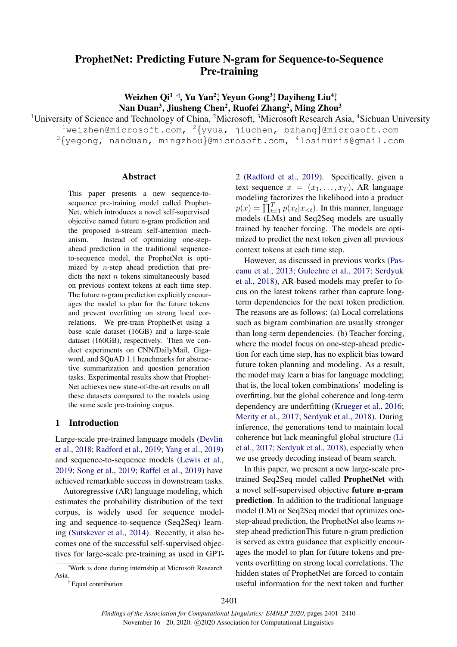# ProphetNet: Predicting Future N-gram for Sequence-to-Sequence Pre-training

Weizhen Qi<sup>1</sup> \*<sup>†</sup>, Yu Yan<sup>2</sup>; Yeyun Gong<sup>3</sup>; Dayiheng Liu<sup>4</sup>; Nan Duan<sup>3</sup>, Jiusheng Chen<sup>2</sup>, Ruofei Zhang<sup>2</sup>, Ming Zhou<sup>3</sup>

<sup>1</sup>University of Science and Technology of China, <sup>2</sup>Microsoft, <sup>3</sup>Microsoft Research Asia, <sup>4</sup>Sichuan University

 $1$ weizhen@microsoft.com,  $2\{yyua, jiuchen, bahang\}$ @microsoft.com  $3\{\text{yegong}$ , nanduan, mingzhou $\text{Qmicross}$ com,  $4$ losinuris@qmail.com

### Abstract

This paper presents a new sequence-tosequence pre-training model called Prophet-Net, which introduces a novel self-supervised objective named future n-gram prediction and the proposed n-stream self-attention mechanism. Instead of optimizing one-stepahead prediction in the traditional sequenceto-sequence model, the ProphetNet is optimized by n-step ahead prediction that predicts the next  $n$  tokens simultaneously based on previous context tokens at each time step. The future n-gram prediction explicitly encourages the model to plan for the future tokens and prevent overfitting on strong local correlations. We pre-train ProphetNet using a base scale dataset (16GB) and a large-scale dataset (160GB), respectively. Then we conduct experiments on CNN/DailyMail, Gigaword, and SQuAD 1.1 benchmarks for abstractive summarization and question generation tasks. Experimental results show that Prophet-Net achieves new state-of-the-art results on all these datasets compared to the models using the same scale pre-training corpus.

### 1 Introduction

Large-scale pre-trained language models (Devlin et al., 2018; Radford et al., 2019; Yang et al., 2019) and sequence-to-sequence models (Lewis et al., 2019; Song et al., 2019; Raffel et al., 2019) have achieved remarkable success in downstream tasks.

Autoregressive (AR) language modeling, which estimates the probability distribution of the text corpus, is widely used for sequence modeling and sequence-to-sequence (Seq2Seq) learning (Sutskever et al., 2014). Recently, it also becomes one of the successful self-supervised objectives for large-scale pre-training as used in GPT-

† Equal contribution

2 (Radford et al., 2019). Specifically, given a text sequence  $x = (x_1, \ldots, x_T)$ , AR language modeling factorizes the likelihood into a product  $p(x) = \prod_{t=1}^{T} p(x_t | x_{< t})$ . In this manner, language models (LMs) and Seq2Seq models are usually trained by teacher forcing. The models are optimized to predict the next token given all previous context tokens at each time step.

However, as discussed in previous works (Pascanu et al., 2013; Gulcehre et al., 2017; Serdyuk et al., 2018), AR-based models may prefer to focus on the latest tokens rather than capture longterm dependencies for the next token prediction. The reasons are as follows: (a) Local correlations such as bigram combination are usually stronger than long-term dependencies. (b) Teacher forcing, where the model focus on one-step-ahead prediction for each time step, has no explicit bias toward future token planning and modeling. As a result, the model may learn a bias for language modeling; that is, the local token combinations' modeling is overfitting, but the global coherence and long-term dependency are underfitting (Krueger et al., 2016; Merity et al., 2017; Serdyuk et al., 2018). During inference, the generations tend to maintain local coherence but lack meaningful global structure (Li et al., 2017; Serdyuk et al., 2018), especially when we use greedy decoding instead of beam search.

In this paper, we present a new large-scale pretrained Seq2Seq model called ProphetNet with a novel self-supervised objective future n-gram prediction. In addition to the traditional language model (LM) or Seq2Seq model that optimizes onestep-ahead prediction, the ProphetNet also learns nstep ahead predictionThis future n-gram prediction is served as extra guidance that explicitly encourages the model to plan for future tokens and prevents overfitting on strong local correlations. The hidden states of ProphetNet are forced to contain useful information for the next token and further

<sup>∗</sup>Work is done during internship at Microsoft Research Asia.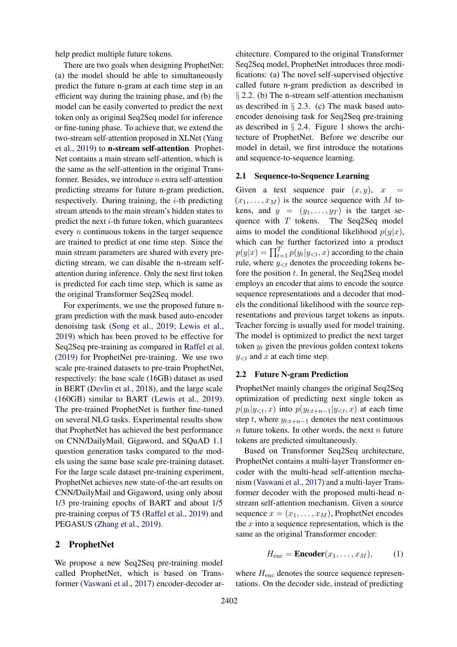help predict multiple future tokens.

There are two goals when designing ProphetNet: (a) the model should be able to simultaneously predict the future n-gram at each time step in an efficient way during the training phase, and (b) the model can be easily converted to predict the next token only as original Seq2Seq model for inference or fine-tuning phase. To achieve that, we extend the two-stream self-attention proposed in XLNet (Yang et al., 2019) to n-stream self-attention. Prophet-Net contains a main stream self-attention, which is the same as the self-attention in the original Transformer. Besides, we introduce  $n$  extra self-attention predicting streams for future n-gram prediction, respectively. During training, the  $i$ -th predicting stream attends to the main stream's hidden states to predict the next  $i$ -th future token, which guarantees every  $n$  continuous tokens in the target sequence are trained to predict at one time step. Since the main stream parameters are shared with every predicting stream, we can disable the n-stream selfattention during inference. Only the next first token is predicted for each time step, which is same as the original Transformer Seq2Seq model.

For experiments, we use the proposed future ngram prediction with the mask based auto-encoder denoising task (Song et al., 2019; Lewis et al., 2019) which has been proved to be effective for Seq2Seq pre-training as compared in Raffel et al. (2019) for ProphetNet pre-training. We use two scale pre-trained datasets to pre-train ProphetNet, respectively: the base scale (16GB) dataset as used in BERT (Devlin et al., 2018), and the large scale (160GB) similar to BART (Lewis et al., 2019). The pre-trained ProphetNet is further fine-tuned on several NLG tasks. Experimental results show that ProphetNet has achieved the best performance on CNN/DailyMail, Gigaword, and SQuAD 1.1 question generation tasks compared to the models using the same base scale pre-training dataset. For the large scale dataset pre-training experiment, ProphetNet achieves new state-of-the-art results on CNN/DailyMail and Gigaword, using only about 1/3 pre-training epochs of BART and about 1/5 pre-training corpus of T5 (Raffel et al., 2019) and PEGASUS (Zhang et al., 2019).

### 2 ProphetNet

We propose a new Seq2Seq pre-training model called ProphetNet, which is based on Transformer (Vaswani et al., 2017) encoder-decoder ar-

chitecture. Compared to the original Transformer Seq2Seq model, ProphetNet introduces three modifications: (a) The novel self-supervised objective called future n-gram prediction as described in § 2.2. (b) The n-stream self-attention mechanism as described in § 2.3. (c) The mask based autoencoder denoising task for Seq2Seq pre-training as described in  $\S$  2.4. Figure 1 shows the architecture of ProphetNet. Before we describe our model in detail, we first introduce the notations and sequence-to-sequence learning.

### 2.1 Sequence-to-Sequence Learning

Given a text sequence pair  $(x, y)$ , x  $(x_1, \ldots, x_M)$  is the source sequence with M tokens, and  $y = (y_1, \ldots, y_T)$  is the target sequence with  $T$  tokens. The Seq2Seq model aims to model the conditional likelihood  $p(y|x)$ , which can be further factorized into a product  $p(y|x) = \prod_{t=1}^{T} p(y_t|y_{< t}, x)$  according to the chain rule, where  $y_{< t}$  denotes the proceeding tokens before the position  $t$ . In general, the Seq2Seq model employs an encoder that aims to encode the source sequence representations and a decoder that models the conditional likelihood with the source representations and previous target tokens as inputs. Teacher forcing is usually used for model training. The model is optimized to predict the next target token  $y_t$  given the previous golden context tokens  $y_{< t}$  and x at each time step.

### 2.2 Future N-gram Prediction

ProphetNet mainly changes the original Seq2Seq optimization of predicting next single token as  $p(y_t|y_{<};,x)$  into  $p(y_{t:t+n-1}|y_{<};,x)$  at each time step t, where  $y_{t:t+n-1}$  denotes the next continuous  $n$  future tokens. In other words, the next  $n$  future tokens are predicted simultaneously.

Based on Transformer Seq2Seq architecture, ProphetNet contains a multi-layer Transformer encoder with the multi-head self-attention mechanism (Vaswani et al., 2017) and a multi-layer Transformer decoder with the proposed multi-head nstream self-attention mechanism. Given a source sequence  $x = (x_1, \ldots, x_M)$ , ProphetNet encodes the  $x$  into a sequence representation, which is the same as the original Transformer encoder:

$$
H_{\text{enc}} = \text{Encoder}(x_1, \dots, x_M), \tag{1}
$$

where  $H_{\text{enc}}$  denotes the source sequence representations. On the decoder side, instead of predicting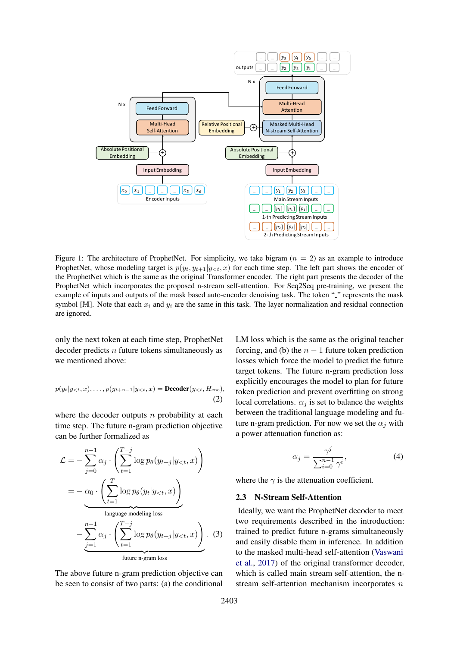

Figure 1: The architecture of ProphetNet. For simplicity, we take bigram  $(n = 2)$  as an example to introduce ProphetNet, whose modeling target is  $p(y_t, y_{t+1}|y_{< t}, x)$  for each time step. The left part shows the encoder of the ProphetNet which is the same as the original Transformer encoder. The right part presents the decoder of the ProphetNet which incorporates the proposed n-stream self-attention. For Seq2Seq pre-training, we present the example of inputs and outputs of the mask based auto-encoder denoising task. The token "" represents the mask symbol [M]. Note that each  $x_i$  and  $y_i$  are the same in this task. The layer normalization and residual connection are ignored.

only the next token at each time step, ProphetNet decoder predicts  $n$  future tokens simultaneously as we mentioned above:

$$
p(y_t|y_{<};,x),\ldots,p(y_{t+n-1}|y_{\n(2)
$$

where the decoder outputs  $n$  probability at each time step. The future n-gram prediction objective can be further formalized as

$$
\mathcal{L} = -\sum_{j=0}^{n-1} \alpha_j \cdot \left( \sum_{t=1}^{T-j} \log p_{\theta}(y_{t+j}|y_{< t}, x) \right)
$$
\n
$$
= -\alpha_0 \cdot \left( \sum_{t=1}^T \log p_{\theta}(y_t|y_{< t}, x) \right)
$$
\n
$$
- \sum_{j=1}^{n-1} \alpha_j \cdot \left( \sum_{t=1}^{T-j} \log p_{\theta}(y_{t+j}|y_{< t}, x) \right). \tag{3}
$$
\n
$$
\text{future n-gram loss}
$$

The above future n-gram prediction objective can be seen to consist of two parts: (a) the conditional

LM loss which is the same as the original teacher forcing, and (b) the  $n - 1$  future token prediction losses which force the model to predict the future target tokens. The future n-gram prediction loss explicitly encourages the model to plan for future token prediction and prevent overfitting on strong local correlations.  $\alpha_i$  is set to balance the weights between the traditional language modeling and future n-gram prediction. For now we set the  $\alpha_i$  with a power attenuation function as:

$$
\alpha_j = \frac{\gamma^j}{\sum_{i=0}^{n-1} \gamma^i},\tag{4}
$$

where the  $\gamma$  is the attenuation coefficient.

#### 2.3 N-Stream Self-Attention

Ideally, we want the ProphetNet decoder to meet two requirements described in the introduction: trained to predict future n-grams simultaneously and easily disable them in inference. In addition to the masked multi-head self-attention (Vaswani et al., 2017) of the original transformer decoder, which is called main stream self-attention, the nstream self-attention mechanism incorporates  $n$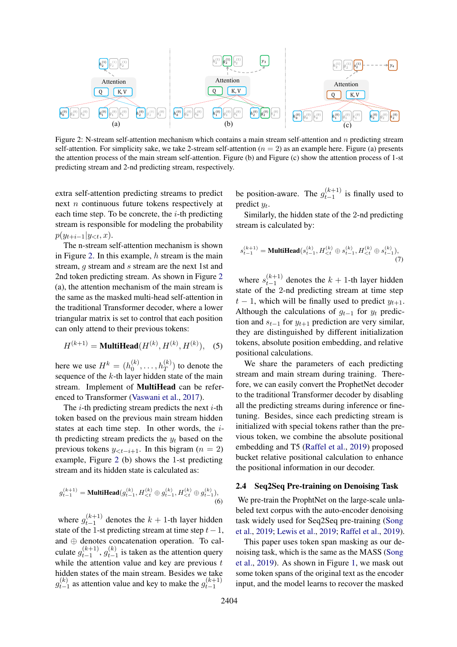

Figure 2: N-stream self-attention mechanism which contains a main stream self-attention and n predicting stream self-attention. For simplicity sake, we take 2-stream self-attention ( $n = 2$ ) as an example here. Figure (a) presents the attention process of the main stream self-attention. Figure (b) and Figure (c) show the attention process of 1-st predicting stream and 2-nd predicting stream, respectively.

extra self-attention predicting streams to predict next n continuous future tokens respectively at each time step. To be concrete, the  $i$ -th predicting stream is responsible for modeling the probability  $p(y_{t+i-1}|y_{<};,x).$ 

The n-stream self-attention mechanism is shown in Figure 2. In this example,  $h$  stream is the main stream, q stream and s stream are the next 1st and 2nd token predicting stream. As shown in Figure 2 (a), the attention mechanism of the main stream is the same as the masked multi-head self-attention in the traditional Transformer decoder, where a lower triangular matrix is set to control that each position can only attend to their previous tokens:

$$
H^{(k+1)} = \text{MultiHead}(H^{(k)}, H^{(k)}, H^{(k)}), \quad (5)
$$

here we use  $H^k = (h_0^{(k)})$  $\binom{k}{0}, \ldots, \binom{k}{T}$  to denote the sequence of the  $k$ -th layer hidden state of the main stream. Implement of MultiHead can be referenced to Transformer (Vaswani et al., 2017).

The  $i$ -th predicting stream predicts the next  $i$ -th token based on the previous main stream hidden states at each time step. In other words, the ith predicting stream predicts the  $y_t$  based on the previous tokens  $y_{\leq t-i+1}$ . In this bigram ( $n = 2$ ) example, Figure 2 (b) shows the 1-st predicting stream and its hidden state is calculated as:

$$
g_{t-1}^{(k+1)} = \text{MultiHead}(g_{t-1}^{(k)}, H_{\n
$$
(6)
$$
$$

where  $g_{t-1}^{(k+1)}$  $t_{t-1}^{(k+1)}$  denotes the  $k + 1$ -th layer hidden state of the 1-st predicting stream at time step  $t-1$ , and ⊕ denotes concatenation operation. To calculate  $g_{t-1}^{(k+1)}$  $_{t-1}^{(k+1)}, g_{t-1}^{(k)}$  $t_{t-1}^{(k)}$  is taken as the attention query while the attention value and key are previous  $t$ hidden states of the main stream. Besides we take  $g_{t-}^{(k)}$  $t_{t-1}^{(k)}$  as attention value and key to make the  $g_{t-1}^{(k+1)}$  $t-1$ 

be position-aware. The  $g_{t-1}^{(k+1)}$  $t_{t-1}^{(k+1)}$  is finally used to predict  $y_t$ .

Similarly, the hidden state of the 2-nd predicting stream is calculated by:

$$
s_{t-1}^{(k+1)} = \text{MultiHead}(s_{t-1}^{(k)}, H_{< t}^{(k)} \oplus s_{t-1}^{(k)}, H_{< t}^{(k)} \oplus s_{t-1}^{(k)}),
$$
\n
$$
\tag{7}
$$

where  $s_{t-1}^{(k+1)}$  $\binom{k+1}{t-1}$  denotes the  $k + 1$ -th layer hidden state of the 2-nd predicting stream at time step  $t-1$ , which will be finally used to predict  $y_{t+1}$ . Although the calculations of  $g_{t-1}$  for  $y_t$  prediction and  $s_{t-1}$  for  $y_{t+1}$  prediction are very similar, they are distinguished by different initialization tokens, absolute position embedding, and relative positional calculations.

We share the parameters of each predicting stream and main stream during training. Therefore, we can easily convert the ProphetNet decoder to the traditional Transformer decoder by disabling all the predicting streams during inference or finetuning. Besides, since each predicting stream is initialized with special tokens rather than the previous token, we combine the absolute positional embedding and T5 (Raffel et al., 2019) proposed bucket relative positional calculation to enhance the positional information in our decoder.

### 2.4 Seq2Seq Pre-training on Denoising Task

We pre-train the ProphtNet on the large-scale unlabeled text corpus with the auto-encoder denoising task widely used for Seq2Seq pre-training (Song et al., 2019; Lewis et al., 2019; Raffel et al., 2019).

This paper uses token span masking as our denoising task, which is the same as the MASS (Song et al., 2019). As shown in Figure 1, we mask out some token spans of the original text as the encoder input, and the model learns to recover the masked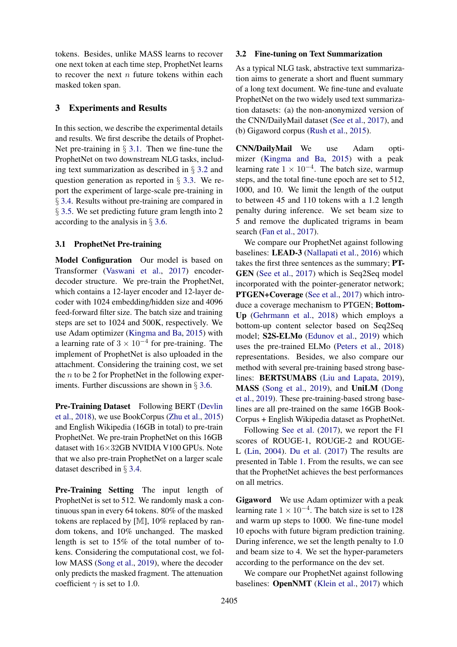tokens. Besides, unlike MASS learns to recover one next token at each time step, ProphetNet learns to recover the next  $n$  future tokens within each masked token span.

### 3 Experiments and Results

In this section, we describe the experimental details and results. We first describe the details of Prophet-Net pre-training in  $\S$  3.1. Then we fine-tune the ProphetNet on two downstream NLG tasks, including text summarization as described in § 3.2 and question generation as reported in § 3.3. We report the experiment of large-scale pre-training in § 3.4. Results without pre-training are compared in § 3.5. We set predicting future gram length into 2 according to the analysis in § 3.6.

### 3.1 ProphetNet Pre-training

Model Configuration Our model is based on Transformer (Vaswani et al., 2017) encoderdecoder structure. We pre-train the ProphetNet, which contains a 12-layer encoder and 12-layer decoder with 1024 embedding/hidden size and 4096 feed-forward filter size. The batch size and training steps are set to 1024 and 500K, respectively. We use Adam optimizer (Kingma and Ba, 2015) with a learning rate of  $3 \times 10^{-4}$  for pre-training. The implement of ProphetNet is also uploaded in the attachment. Considering the training cost, we set the  $n$  to be 2 for ProphetNet in the following experiments. Further discussions are shown in § 3.6.

Pre-Training Dataset Following BERT (Devlin et al., 2018), we use BookCorpus (Zhu et al., 2015) and English Wikipedia (16GB in total) to pre-train ProphetNet. We pre-train ProphetNet on this 16GB dataset with 16×32GB NVIDIA V100 GPUs. Note that we also pre-train ProphetNet on a larger scale dataset described in § 3.4.

Pre-Training Setting The input length of ProphetNet is set to 512. We randomly mask a continuous span in every 64 tokens. 80% of the masked tokens are replaced by [M], 10% replaced by random tokens, and 10% unchanged. The masked length is set to 15% of the total number of tokens. Considering the computational cost, we follow MASS (Song et al., 2019), where the decoder only predicts the masked fragment. The attenuation coefficient  $\gamma$  is set to 1.0.

### 3.2 Fine-tuning on Text Summarization

As a typical NLG task, abstractive text summarization aims to generate a short and fluent summary of a long text document. We fine-tune and evaluate ProphetNet on the two widely used text summarization datasets: (a) the non-anonymized version of the CNN/DailyMail dataset (See et al., 2017), and (b) Gigaword corpus (Rush et al., 2015).

CNN/DailyMail We use Adam optimizer (Kingma and Ba, 2015) with a peak learning rate  $1 \times 10^{-4}$ . The batch size, warmup steps, and the total fine-tune epoch are set to 512, 1000, and 10. We limit the length of the output to between 45 and 110 tokens with a 1.2 length penalty during inference. We set beam size to 5 and remove the duplicated trigrams in beam search (Fan et al., 2017).

We compare our ProphetNet against following baselines: LEAD-3 (Nallapati et al., 2016) which takes the first three sentences as the summary; PT-GEN (See et al., 2017) which is Seq2Seq model incorporated with the pointer-generator network; PTGEN+Coverage (See et al., 2017) which introduce a coverage mechanism to PTGEN; Bottom-Up (Gehrmann et al., 2018) which employs a bottom-up content selector based on Seq2Seq model; S2S-ELMo (Edunov et al., 2019) which uses the pre-trained ELMo (Peters et al., 2018) representations. Besides, we also compare our method with several pre-training based strong baselines: BERTSUMABS (Liu and Lapata, 2019), MASS (Song et al., 2019), and UniLM (Dong et al., 2019). These pre-training-based strong baselines are all pre-trained on the same 16GB Book-Corpus + English Wikipedia dataset as ProphetNet.

Following See et al. (2017), we report the F1 scores of ROUGE-1, ROUGE-2 and ROUGE-L (Lin, 2004). Du et al. (2017) The results are presented in Table 1. From the results, we can see that the ProphetNet achieves the best performances on all metrics.

Gigaword We use Adam optimizer with a peak learning rate  $1 \times 10^{-4}$ . The batch size is set to 128 and warm up steps to 1000. We fine-tune model 10 epochs with future bigram prediction training. During inference, we set the length penalty to 1.0 and beam size to 4. We set the hyper-parameters according to the performance on the dev set.

We compare our ProphetNet against following baselines: OpenNMT (Klein et al., 2017) which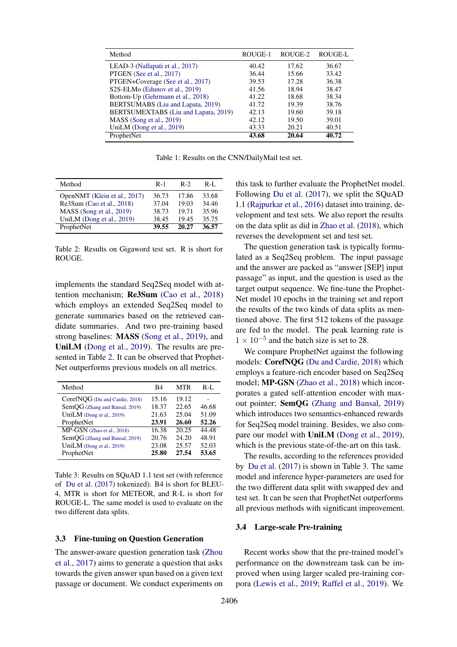| Method                                                  | ROUGE-1 | ROUGE-2 | ROUGE-L |
|---------------------------------------------------------|---------|---------|---------|
| LEAD-3 (Nallapati et al., 2017)                         | 40.42   | 17.62   | 36.67   |
| PTGEN (See et al., 2017)                                | 36.44   | 15.66   | 33.42   |
| PTGEN+Coverage (See et al., 2017)                       | 39.53   | 17.28   | 36.38   |
| S <sub>2</sub> S-ELM <sub>o</sub> (Edunov et al., 2019) | 41.56   | 18.94   | 38.47   |
| Bottom-Up (Gehrmann et al., 2018)                       | 41.22   | 18.68   | 38.34   |
| BERTSUMABS (Liu and Lapata, 2019)                       | 41.72   | 19.39   | 38.76   |
| BERTSUMEXTABS (Liu and Lapata, 2019)                    | 42.13   | 19.60   | 39.18   |
| MASS (Song et al., 2019)                                | 42.12   | 19.50   | 39.01   |
| UniLM (Dong et al., 2019)                               | 43.33   | 20.21   | 40.51   |
| ProphetNet                                              | 43.68   | 20.64   | 40.72   |

Table 1: Results on the CNN/DailyMail test set.

| Method                       | $R-1$ | $R-2$ | $R-I$ . |
|------------------------------|-------|-------|---------|
| OpenNMT (Klein et al., 2017) | 36.73 | 17.86 | 33.68   |
| Re3Sum (Cao et al., 2018)    | 37.04 | 19.03 | 34.46   |
| MASS (Song et al., 2019)     | 38.73 | 19.71 | 35.96   |
| UniLM (Dong et al., 2019)    | 38.45 | 19.45 | 35.75   |
| ProphetNet                   | 39.55 | 20.27 | 36.57   |

Table 2: Results on Gigaword test set. R is short for ROUGE.

implements the standard Seq2Seq model with attention mechanism; Re3Sum (Cao et al., 2018) which employs an extended Seq2Seq model to generate summaries based on the retrieved candidate summaries. And two pre-training based strong baselines: MASS (Song et al., 2019), and UniLM (Dong et al., 2019). The results are presented in Table 2. It can be observed that Prophet-Net outperforms previous models on all metrics.

| Method                         | B4    | MTR   | R-L   |
|--------------------------------|-------|-------|-------|
| CorefNQG (Du and Cardie, 2018) | 15.16 | 19.12 |       |
| SemQG (Zhang and Bansal, 2019) | 18.37 | 22.65 | 46.68 |
| UniLM (Dong et al., 2019)      | 21.63 | 25.04 | 51.09 |
| ProphetNet                     | 23.91 | 26.60 | 52.26 |
| MP-GSN (Zhao et al., 2018)     | 16.38 | 20.25 | 44.48 |
| SemQG (Zhang and Bansal, 2019) | 20.76 | 24.20 | 48.91 |
| UniLM (Dong et al., 2019)      | 23.08 | 25.57 | 52.03 |
| ProphetNet                     | 25.80 | 27.54 | 53.65 |

Table 3: Results on SQuAD 1.1 test set (with reference of Du et al. (2017) tokenized). B4 is short for BLEU-4, MTR is short for METEOR, and R-L is short for ROUGE-L. The same model is used to evaluate on the two different data splits.

### 3.3 Fine-tuning on Question Generation

The answer-aware question generation task (Zhou et al., 2017) aims to generate a question that asks towards the given answer span based on a given text passage or document. We conduct experiments on

this task to further evaluate the ProphetNet model. Following Du et al. (2017), we split the SQuAD 1.1 (Rajpurkar et al., 2016) dataset into training, development and test sets. We also report the results on the data split as did in Zhao et al. (2018), which reverses the development set and test set.

The question generation task is typically formulated as a Seq2Seq problem. The input passage and the answer are packed as "answer [SEP] input passage" as input, and the question is used as the target output sequence. We fine-tune the Prophet-Net model 10 epochs in the training set and report the results of the two kinds of data splits as mentioned above. The first 512 tokens of the passage are fed to the model. The peak learning rate is  $1 \times 10^{-5}$  and the batch size is set to 28.

We compare ProphetNet against the following models: CorefNQG (Du and Cardie, 2018) which employs a feature-rich encoder based on Seq2Seq model; MP-GSN (Zhao et al., 2018) which incorporates a gated self-attention encoder with maxout pointer; SemQG (Zhang and Bansal, 2019) which introduces two semantics-enhanced rewards for Seq2Seq model training. Besides, we also compare our model with UniLM (Dong et al., 2019), which is the previous state-of-the-art on this task.

The results, according to the references provided by Du et al. (2017) is shown in Table 3. The same model and inference hyper-parameters are used for the two different data split with swapped dev and test set. It can be seen that ProphetNet outperforms all previous methods with significant improvement.

#### 3.4 Large-scale Pre-training

Recent works show that the pre-trained model's performance on the downstream task can be improved when using larger scaled pre-training corpora (Lewis et al., 2019; Raffel et al., 2019). We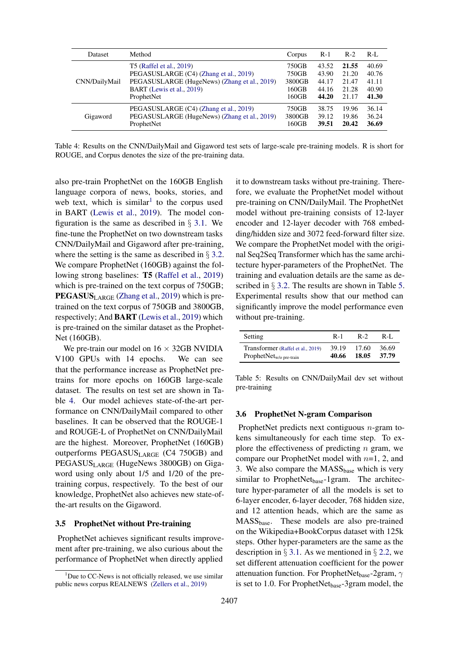| Dataset       | Method                                       | Corpus | $R-1$ | $R-2$ | $R-I$ |
|---------------|----------------------------------------------|--------|-------|-------|-------|
| CNN/DailyMail | T5 (Raffel et al., 2019)                     | 750GB  | 43.52 | 21.55 | 40.69 |
|               | PEGASUSLARGE (C4) (Zhang et al., 2019)       | 750GB  | 43.90 | 21.20 | 40.76 |
|               | PEGASUSLARGE (HugeNews) (Zhang et al., 2019) | 3800GB | 44.17 | 21.47 | 41.11 |
|               | BART (Lewis et al., 2019)                    | 160GB  | 44.16 | 21.28 | 40.90 |
|               | ProphetNet                                   | 160GB  | 44.20 | 21.17 | 41.30 |
| Gigaword      | PEGASUSLARGE (C4) (Zhang et al., 2019)       | 750GB  | 38.75 | 19.96 | 36.14 |
|               | PEGASUSLARGE (HugeNews) (Zhang et al., 2019) | 3800GB | 39.12 | 19.86 | 36.24 |
|               | ProphetNet                                   | 160GB  | 39.51 | 20.42 | 36.69 |

Table 4: Results on the CNN/DailyMail and Gigaword test sets of large-scale pre-training models. R is short for ROUGE, and Corpus denotes the size of the pre-training data.

also pre-train ProphetNet on the 160GB English language corpora of news, books, stories, and web text, which is similar<sup>1</sup> to the corpus used in BART (Lewis et al., 2019). The model configuration is the same as described in  $\S$  3.1. We fine-tune the ProphetNet on two downstream tasks CNN/DailyMail and Gigaword after pre-training, where the setting is the same as described in § 3.2. We compare ProphetNet (160GB) against the following strong baselines: T5 (Raffel et al., 2019) which is pre-trained on the text corpus of 750GB; PEGASUS<sub>LARGE</sub> (Zhang et al., 2019) which is pretrained on the text corpus of 750GB and 3800GB, respectively; And BART (Lewis et al., 2019) which is pre-trained on the similar dataset as the Prophet-Net (160GB).

We pre-train our model on  $16 \times 32GB$  NVIDIA V100 GPUs with 14 epochs. We can see that the performance increase as ProphetNet pretrains for more epochs on 160GB large-scale dataset. The results on test set are shown in Table 4. Our model achieves state-of-the-art performance on CNN/DailyMail compared to other baselines. It can be observed that the ROUGE-1 and ROUGE-L of ProphetNet on CNN/DailyMail are the highest. Moreover, ProphetNet (160GB) outperforms PEGASUSLARGE (C4 750GB) and PEGASUS<sub>LARGE</sub> (HugeNews 3800GB) on Gigaword using only about 1/5 and 1/20 of the pretraining corpus, respectively. To the best of our knowledge, ProphetNet also achieves new state-ofthe-art results on the Gigaword.

### 3.5 ProphetNet without Pre-training

ProphetNet achieves significant results improvement after pre-training, we also curious about the performance of ProphetNet when directly applied

it to downstream tasks without pre-training. Therefore, we evaluate the ProphetNet model without pre-training on CNN/DailyMail. The ProphetNet model without pre-training consists of 12-layer encoder and 12-layer decoder with 768 embedding/hidden size and 3072 feed-forward filter size. We compare the ProphetNet model with the original Seq2Seq Transformer which has the same architecture hyper-parameters of the ProphetNet. The training and evaluation details are the same as described in  $\S$  3.2. The results are shown in Table 5. Experimental results show that our method can significantly improve the model performance even without pre-training.

| Setting                            | $R-1$ | $R-2$ | R-L   |
|------------------------------------|-------|-------|-------|
| Transformer (Raffel et al., 2019)  | 39.19 | 17.60 | 36.69 |
| ProphetNet <sub>w/opre-train</sub> | 40.66 | 18.05 | 37.79 |

Table 5: Results on CNN/DailyMail dev set without pre-training

### 3.6 ProphetNet N-gram Comparison

ProphetNet predicts next contiguous n-gram tokens simultaneously for each time step. To explore the effectiveness of predicting  $n$  gram, we compare our ProphetNet model with  $n=1, 2$ , and 3. We also compare the MASS<sub>base</sub> which is very similar to ProphetNet<sub>base</sub>-1gram. The architecture hyper-parameter of all the models is set to 6-layer encoder, 6-layer decoder, 768 hidden size, and 12 attention heads, which are the same as MASSbase. These models are also pre-trained on the Wikipedia+BookCorpus dataset with 125k steps. Other hyper-parameters are the same as the description in  $\S 3.1$ . As we mentioned in  $\S 2.2$ , we set different attenuation coefficient for the power attenuation function. For ProphetNet<sub>base</sub>-2gram,  $\gamma$ is set to 1.0. For ProphetNet $_{base}$ -3gram model, the

 $1$ Due to CC-News is not officially released, we use similar public news corpus REALNEWS (Zellers et al., 2019)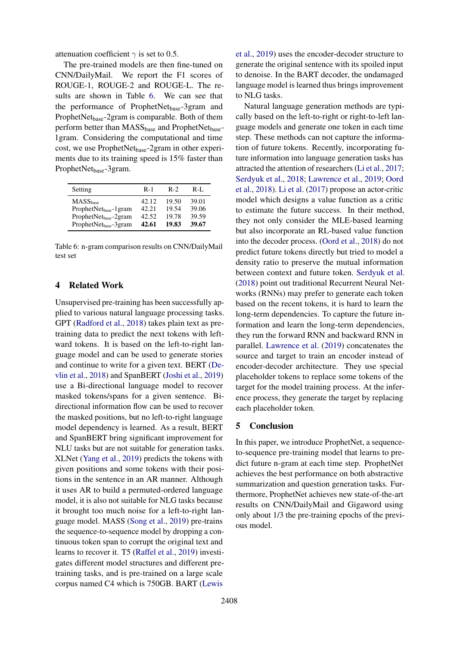attenuation coefficient  $\gamma$  is set to 0.5.

The pre-trained models are then fine-tuned on CNN/DailyMail. We report the F1 scores of ROUGE-1, ROUGE-2 and ROUGE-L. The results are shown in Table 6. We can see that the performance of ProphetNet<sub>base</sub>-3gram and ProphetNet<sub>base</sub>-2gram is comparable. Both of them perform better than  $MASS_{base}$  and ProphetNet $_{base}$ -1gram. Considering the computational and time cost, we use ProphetNet<sub>base</sub>-2gram in other experiments due to its training speed is 15% faster than ProphetNet<sub>base</sub>-3gram.

| Setting                                                                | $R-1$          | $R-2$          | $R-I.$         |
|------------------------------------------------------------------------|----------------|----------------|----------------|
| $MASS_{base}$                                                          | 42.12          | 19.50          | 39.01          |
| ProphetNet <sub>base</sub> -1gram<br>ProphetNet <sub>base</sub> -2gram | 42.21<br>42.52 | 19.54<br>19.78 | 39.06<br>39.59 |
| ProphetNetbase-3gram                                                   | 42.61          | 19.83          | 39.67          |

Table 6: n-gram comparison results on CNN/DailyMail test set

## 4 Related Work

Unsupervised pre-training has been successfully applied to various natural language processing tasks. GPT (Radford et al., 2018) takes plain text as pretraining data to predict the next tokens with leftward tokens. It is based on the left-to-right language model and can be used to generate stories and continue to write for a given text. BERT (Devlin et al., 2018) and SpanBERT (Joshi et al., 2019) use a Bi-directional language model to recover masked tokens/spans for a given sentence. Bidirectional information flow can be used to recover the masked positions, but no left-to-right language model dependency is learned. As a result, BERT and SpanBERT bring significant improvement for NLU tasks but are not suitable for generation tasks. XLNet (Yang et al., 2019) predicts the tokens with given positions and some tokens with their positions in the sentence in an AR manner. Although it uses AR to build a permuted-ordered language model, it is also not suitable for NLG tasks because it brought too much noise for a left-to-right language model. MASS (Song et al., 2019) pre-trains the sequence-to-sequence model by dropping a continuous token span to corrupt the original text and learns to recover it. T5 (Raffel et al., 2019) investigates different model structures and different pretraining tasks, and is pre-trained on a large scale corpus named C4 which is 750GB. BART (Lewis

et al., 2019) uses the encoder-decoder structure to generate the original sentence with its spoiled input to denoise. In the BART decoder, the undamaged language model is learned thus brings improvement to NLG tasks.

Natural language generation methods are typically based on the left-to-right or right-to-left language models and generate one token in each time step. These methods can not capture the information of future tokens. Recently, incorporating future information into language generation tasks has attracted the attention of researchers (Li et al., 2017; Serdyuk et al., 2018; Lawrence et al., 2019; Oord et al., 2018). Li et al. (2017) propose an actor-critic model which designs a value function as a critic to estimate the future success. In their method, they not only consider the MLE-based learning but also incorporate an RL-based value function into the decoder process. (Oord et al., 2018) do not predict future tokens directly but tried to model a density ratio to preserve the mutual information between context and future token. Serdyuk et al. (2018) point out traditional Recurrent Neural Networks (RNNs) may prefer to generate each token based on the recent tokens, it is hard to learn the long-term dependencies. To capture the future information and learn the long-term dependencies, they run the forward RNN and backward RNN in parallel. Lawrence et al. (2019) concatenates the source and target to train an encoder instead of encoder-decoder architecture. They use special placeholder tokens to replace some tokens of the target for the model training process. At the inference process, they generate the target by replacing each placeholder token.

### 5 Conclusion

In this paper, we introduce ProphetNet, a sequenceto-sequence pre-training model that learns to predict future n-gram at each time step. ProphetNet achieves the best performance on both abstractive summarization and question generation tasks. Furthermore, ProphetNet achieves new state-of-the-art results on CNN/DailyMail and Gigaword using only about 1/3 the pre-training epochs of the previous model.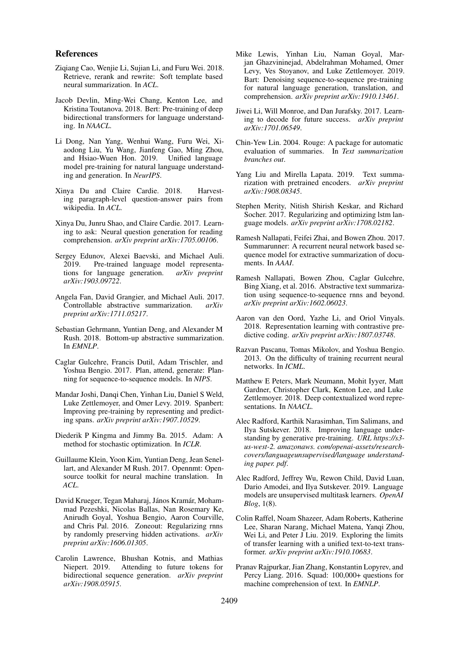### References

- Ziqiang Cao, Wenjie Li, Sujian Li, and Furu Wei. 2018. Retrieve, rerank and rewrite: Soft template based neural summarization. In *ACL*.
- Jacob Devlin, Ming-Wei Chang, Kenton Lee, and Kristina Toutanova. 2018. Bert: Pre-training of deep bidirectional transformers for language understanding. In *NAACL*.
- Li Dong, Nan Yang, Wenhui Wang, Furu Wei, Xiaodong Liu, Yu Wang, Jianfeng Gao, Ming Zhou, and Hsiao-Wuen Hon. 2019. Unified language model pre-training for natural language understanding and generation. In *NeurIPS*.
- Xinya Du and Claire Cardie. 2018. Harvesting paragraph-level question-answer pairs from wikipedia. In *ACL*.
- Xinya Du, Junru Shao, and Claire Cardie. 2017. Learning to ask: Neural question generation for reading comprehension. *arXiv preprint arXiv:1705.00106*.
- Sergey Edunov, Alexei Baevski, and Michael Auli. 2019. Pre-trained language model representations for language generation. *arXiv preprint arXiv:1903.09722*.
- Angela Fan, David Grangier, and Michael Auli. 2017. Controllable abstractive summarization. *arXiv preprint arXiv:1711.05217*.
- Sebastian Gehrmann, Yuntian Deng, and Alexander M Rush. 2018. Bottom-up abstractive summarization. In *EMNLP*.
- Caglar Gulcehre, Francis Dutil, Adam Trischler, and Yoshua Bengio. 2017. Plan, attend, generate: Planning for sequence-to-sequence models. In *NIPS*.
- Mandar Joshi, Dangi Chen, Yinhan Liu, Daniel S Weld, Luke Zettlemoyer, and Omer Levy. 2019. Spanbert: Improving pre-training by representing and predicting spans. *arXiv preprint arXiv:1907.10529*.
- Diederik P Kingma and Jimmy Ba. 2015. Adam: A method for stochastic optimization. In *ICLR*.
- Guillaume Klein, Yoon Kim, Yuntian Deng, Jean Senellart, and Alexander M Rush. 2017. Opennmt: Opensource toolkit for neural machine translation. In *ACL*.
- David Krueger, Tegan Maharaj, János Kramár, Mohammad Pezeshki, Nicolas Ballas, Nan Rosemary Ke, Anirudh Goyal, Yoshua Bengio, Aaron Courville, and Chris Pal. 2016. Zoneout: Regularizing rnns by randomly preserving hidden activations. *arXiv preprint arXiv:1606.01305*.
- Carolin Lawrence, Bhushan Kotnis, and Mathias Niepert. 2019. Attending to future tokens for bidirectional sequence generation. *arXiv preprint arXiv:1908.05915*.
- Mike Lewis, Yinhan Liu, Naman Goyal, Marjan Ghazvininejad, Abdelrahman Mohamed, Omer Levy, Ves Stoyanov, and Luke Zettlemoyer. 2019. Bart: Denoising sequence-to-sequence pre-training for natural language generation, translation, and comprehension. *arXiv preprint arXiv:1910.13461*.
- Jiwei Li, Will Monroe, and Dan Jurafsky. 2017. Learning to decode for future success. *arXiv preprint arXiv:1701.06549*.
- Chin-Yew Lin. 2004. Rouge: A package for automatic evaluation of summaries. In *Text summarization branches out*.
- Yang Liu and Mirella Lapata. 2019. Text summarization with pretrained encoders. *arXiv preprint arXiv:1908.08345*.
- Stephen Merity, Nitish Shirish Keskar, and Richard Socher. 2017. Regularizing and optimizing lstm language models. *arXiv preprint arXiv:1708.02182*.
- Ramesh Nallapati, Feifei Zhai, and Bowen Zhou. 2017. Summarunner: A recurrent neural network based sequence model for extractive summarization of documents. In *AAAI*.
- Ramesh Nallapati, Bowen Zhou, Caglar Gulcehre, Bing Xiang, et al. 2016. Abstractive text summarization using sequence-to-sequence rnns and beyond. *arXiv preprint arXiv:1602.06023*.
- Aaron van den Oord, Yazhe Li, and Oriol Vinyals. 2018. Representation learning with contrastive predictive coding. *arXiv preprint arXiv:1807.03748*.
- Razvan Pascanu, Tomas Mikolov, and Yoshua Bengio. 2013. On the difficulty of training recurrent neural networks. In *ICML*.
- Matthew E Peters, Mark Neumann, Mohit Iyyer, Matt Gardner, Christopher Clark, Kenton Lee, and Luke Zettlemoyer. 2018. Deep contextualized word representations. In *NAACL*.
- Alec Radford, Karthik Narasimhan, Tim Salimans, and Ilya Sutskever. 2018. Improving language understanding by generative pre-training. *URL https://s3 us-west-2. amazonaws. com/openai-assets/researchcovers/languageunsupervised/language understanding paper. pdf*.
- Alec Radford, Jeffrey Wu, Rewon Child, David Luan, Dario Amodei, and Ilya Sutskever. 2019. Language models are unsupervised multitask learners. *OpenAI Blog*, 1(8).
- Colin Raffel, Noam Shazeer, Adam Roberts, Katherine Lee, Sharan Narang, Michael Matena, Yanqi Zhou, Wei Li, and Peter J Liu. 2019. Exploring the limits of transfer learning with a unified text-to-text transformer. *arXiv preprint arXiv:1910.10683*.
- Pranav Rajpurkar, Jian Zhang, Konstantin Lopyrev, and Percy Liang. 2016. Squad: 100,000+ questions for machine comprehension of text. In *EMNLP*.